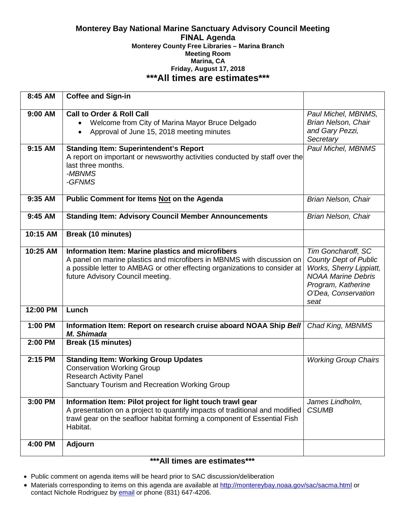#### **Monterey Bay National Marine Sanctuary Advisory Council Meeting FINAL Agenda Monterey County Free Libraries – Marina Branch Meeting Room Marina, CA Friday, August 17, 2018 \*\*\*All times are estimates\*\*\***

| 8:45 AM  | <b>Coffee and Sign-in</b>                                                   |                              |
|----------|-----------------------------------------------------------------------------|------------------------------|
|          |                                                                             |                              |
| 9:00 AM  | <b>Call to Order &amp; Roll Call</b>                                        | Paul Michel, MBNMS,          |
|          | Welcome from City of Marina Mayor Bruce Delgado                             | Brian Nelson, Chair          |
|          | Approval of June 15, 2018 meeting minutes                                   | and Gary Pezzi,              |
|          |                                                                             | Secretary                    |
| 9:15 AM  | <b>Standing Item: Superintendent's Report</b>                               | Paul Michel, MBNMS           |
|          | A report on important or newsworthy activities conducted by staff over the  |                              |
|          | last three months.                                                          |                              |
|          | -MBNMS                                                                      |                              |
|          | -GFNMS                                                                      |                              |
|          |                                                                             |                              |
| 9:35 AM  | Public Comment for Items Not on the Agenda                                  | Brian Nelson, Chair          |
|          |                                                                             |                              |
| 9:45 AM  | <b>Standing Item: Advisory Council Member Announcements</b>                 | <b>Brian Nelson, Chair</b>   |
| 10:15 AM | <b>Break (10 minutes)</b>                                                   |                              |
|          |                                                                             |                              |
| 10:25 AM | Information Item: Marine plastics and microfibers                           | Tim Goncharoff, SC           |
|          | A panel on marine plastics and microfibers in MBNMS with discussion on      | <b>County Dept of Public</b> |
|          | a possible letter to AMBAG or other effecting organizations to consider at  | Works, Sherry Lippiatt,      |
|          | future Advisory Council meeting.                                            | <b>NOAA Marine Debris</b>    |
|          |                                                                             | Program, Katherine           |
|          |                                                                             | O'Dea, Conservation          |
|          |                                                                             | seat                         |
| 12:00 PM | Lunch                                                                       |                              |
| 1:00 PM  | Information Item: Report on research cruise aboard NOAA Ship Bell           | Chad King, MBNMS             |
|          | M. Shimada                                                                  |                              |
| 2:00 PM  | <b>Break (15 minutes)</b>                                                   |                              |
|          |                                                                             |                              |
| 2:15 PM  | <b>Standing Item: Working Group Updates</b>                                 | <b>Working Group Chairs</b>  |
|          | <b>Conservation Working Group</b>                                           |                              |
|          | <b>Research Activity Panel</b>                                              |                              |
|          | Sanctuary Tourism and Recreation Working Group                              |                              |
| 3:00 PM  | Information Item: Pilot project for light touch trawl gear                  | James Lindholm,              |
|          | A presentation on a project to quantify impacts of traditional and modified | <b>CSUMB</b>                 |
|          | trawl gear on the seafloor habitat forming a component of Essential Fish    |                              |
|          | Habitat.                                                                    |                              |
|          |                                                                             |                              |
| 4:00 PM  | Adjourn                                                                     |                              |
|          |                                                                             |                              |

# **\*\*\*All times are estimates\*\*\***

- Public comment on agenda items will be heard prior to SAC discussion/deliberation
- Materials corresponding to items on this agenda are available at<http://montereybay.noaa.gov/sac/sacma.html> or contact Nichole Rodriguez by [email](mailto:Nichole.Rodriguez@noaa.gov) or phone (831) 647-4206.